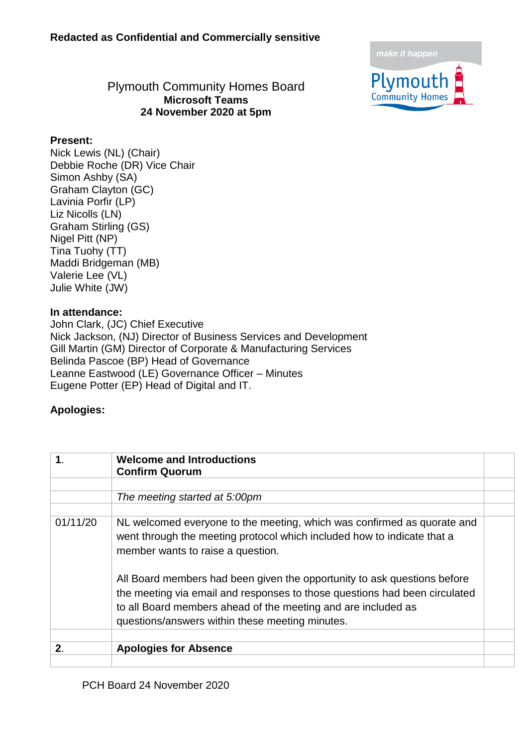

#### Plymouth Community Homes Board **Microsoft Teams 24 November 2020 at 5pm**

#### **Present:**

Nick Lewis (NL) (Chair) Debbie Roche (DR) Vice Chair Simon Ashby (SA) Graham Clayton (GC) Lavinia Porfir (LP) Liz Nicolls (LN) Graham Stirling (GS) Nigel Pitt (NP) Tina Tuohy (TT) Maddi Bridgeman (MB) Valerie Lee (VL) Julie White (JW)

#### **In attendance:**

John Clark, (JC) Chief Executive Nick Jackson, (NJ) Director of Business Services and Development Gill Martin (GM) Director of Corporate & Manufacturing Services Belinda Pascoe (BP) Head of Governance Leanne Eastwood (LE) Governance Officer – Minutes Eugene Potter (EP) Head of Digital and IT.

#### **Apologies:**

| $\mathbf 1$ . | <b>Welcome and Introductions</b><br><b>Confirm Quorum</b>                                                                                                                                                                                                                  |  |
|---------------|----------------------------------------------------------------------------------------------------------------------------------------------------------------------------------------------------------------------------------------------------------------------------|--|
|               |                                                                                                                                                                                                                                                                            |  |
|               | The meeting started at 5:00pm                                                                                                                                                                                                                                              |  |
|               |                                                                                                                                                                                                                                                                            |  |
| 01/11/20      | NL welcomed everyone to the meeting, which was confirmed as quorate and<br>went through the meeting protocol which included how to indicate that a<br>member wants to raise a question.                                                                                    |  |
|               | All Board members had been given the opportunity to ask questions before<br>the meeting via email and responses to those questions had been circulated<br>to all Board members ahead of the meeting and are included as<br>questions/answers within these meeting minutes. |  |
| 2.            | <b>Apologies for Absence</b>                                                                                                                                                                                                                                               |  |
|               |                                                                                                                                                                                                                                                                            |  |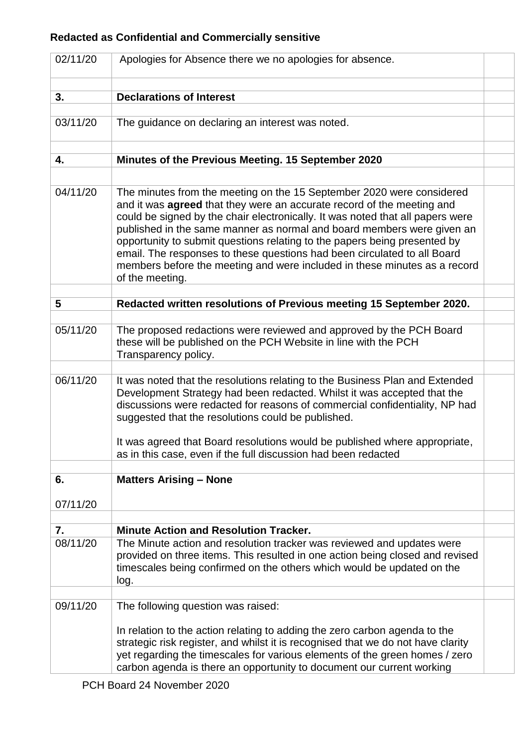| 02/11/20       | Apologies for Absence there we no apologies for absence.                                                                                                                                                                                                                                                                                                                                                                                                                                                                                                                    |  |
|----------------|-----------------------------------------------------------------------------------------------------------------------------------------------------------------------------------------------------------------------------------------------------------------------------------------------------------------------------------------------------------------------------------------------------------------------------------------------------------------------------------------------------------------------------------------------------------------------------|--|
| 3.             | <b>Declarations of Interest</b>                                                                                                                                                                                                                                                                                                                                                                                                                                                                                                                                             |  |
| 03/11/20       | The guidance on declaring an interest was noted.                                                                                                                                                                                                                                                                                                                                                                                                                                                                                                                            |  |
| 4.             | Minutes of the Previous Meeting. 15 September 2020                                                                                                                                                                                                                                                                                                                                                                                                                                                                                                                          |  |
|                |                                                                                                                                                                                                                                                                                                                                                                                                                                                                                                                                                                             |  |
| 04/11/20       | The minutes from the meeting on the 15 September 2020 were considered<br>and it was <b>agreed</b> that they were an accurate record of the meeting and<br>could be signed by the chair electronically. It was noted that all papers were<br>published in the same manner as normal and board members were given an<br>opportunity to submit questions relating to the papers being presented by<br>email. The responses to these questions had been circulated to all Board<br>members before the meeting and were included in these minutes as a record<br>of the meeting. |  |
| 5              | Redacted written resolutions of Previous meeting 15 September 2020.                                                                                                                                                                                                                                                                                                                                                                                                                                                                                                         |  |
|                |                                                                                                                                                                                                                                                                                                                                                                                                                                                                                                                                                                             |  |
| 05/11/20       | The proposed redactions were reviewed and approved by the PCH Board<br>these will be published on the PCH Website in line with the PCH<br>Transparency policy.                                                                                                                                                                                                                                                                                                                                                                                                              |  |
|                |                                                                                                                                                                                                                                                                                                                                                                                                                                                                                                                                                                             |  |
| 06/11/20       | It was noted that the resolutions relating to the Business Plan and Extended<br>Development Strategy had been redacted. Whilst it was accepted that the<br>discussions were redacted for reasons of commercial confidentiality, NP had<br>suggested that the resolutions could be published.<br>It was agreed that Board resolutions would be published where appropriate,<br>as in this case, even if the full discussion had been redacted                                                                                                                                |  |
|                |                                                                                                                                                                                                                                                                                                                                                                                                                                                                                                                                                                             |  |
| 6.<br>07/11/20 | <b>Matters Arising - None</b>                                                                                                                                                                                                                                                                                                                                                                                                                                                                                                                                               |  |
|                |                                                                                                                                                                                                                                                                                                                                                                                                                                                                                                                                                                             |  |
| 7.             | <b>Minute Action and Resolution Tracker.</b>                                                                                                                                                                                                                                                                                                                                                                                                                                                                                                                                |  |
| 08/11/20       | The Minute action and resolution tracker was reviewed and updates were<br>provided on three items. This resulted in one action being closed and revised<br>timescales being confirmed on the others which would be updated on the<br>log.                                                                                                                                                                                                                                                                                                                                   |  |
| 09/11/20       | The following question was raised:                                                                                                                                                                                                                                                                                                                                                                                                                                                                                                                                          |  |
|                | In relation to the action relating to adding the zero carbon agenda to the<br>strategic risk register, and whilst it is recognised that we do not have clarity<br>yet regarding the timescales for various elements of the green homes / zero<br>carbon agenda is there an opportunity to document our current working                                                                                                                                                                                                                                                      |  |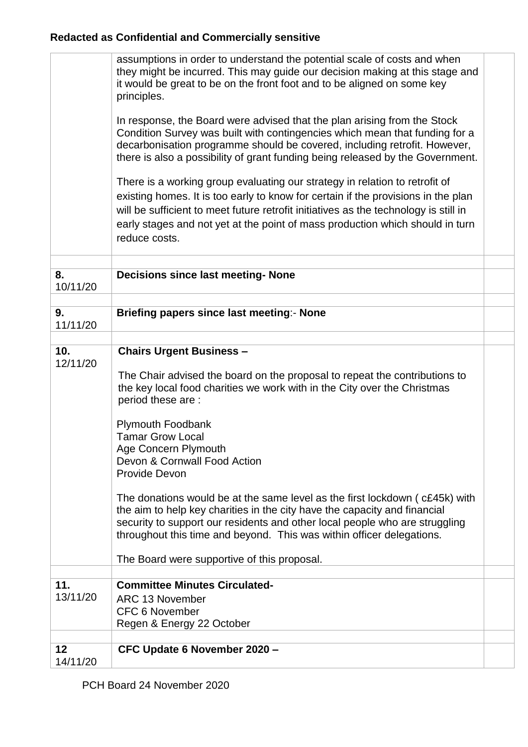|                | assumptions in order to understand the potential scale of costs and when             |  |
|----------------|--------------------------------------------------------------------------------------|--|
|                | they might be incurred. This may guide our decision making at this stage and         |  |
|                | it would be great to be on the front foot and to be aligned on some key              |  |
|                | principles.                                                                          |  |
|                |                                                                                      |  |
|                | In response, the Board were advised that the plan arising from the Stock             |  |
|                | Condition Survey was built with contingencies which mean that funding for a          |  |
|                | decarbonisation programme should be covered, including retrofit. However,            |  |
|                | there is also a possibility of grant funding being released by the Government.       |  |
|                |                                                                                      |  |
|                | There is a working group evaluating our strategy in relation to retrofit of          |  |
|                | existing homes. It is too early to know for certain if the provisions in the plan    |  |
|                | will be sufficient to meet future retrofit initiatives as the technology is still in |  |
|                | early stages and not yet at the point of mass production which should in turn        |  |
|                | reduce costs.                                                                        |  |
|                |                                                                                      |  |
|                |                                                                                      |  |
| 8.             | <b>Decisions since last meeting- None</b>                                            |  |
| 10/11/20       |                                                                                      |  |
|                |                                                                                      |  |
| 9.             | Briefing papers since last meeting:- None                                            |  |
| 11/11/20       |                                                                                      |  |
|                |                                                                                      |  |
| 10.            | <b>Chairs Urgent Business -</b>                                                      |  |
| 12/11/20       |                                                                                      |  |
|                | The Chair advised the board on the proposal to repeat the contributions to           |  |
|                | the key local food charities we work with in the City over the Christmas             |  |
|                | period these are :                                                                   |  |
|                |                                                                                      |  |
|                | <b>Plymouth Foodbank</b>                                                             |  |
|                | <b>Tamar Grow Local</b>                                                              |  |
|                |                                                                                      |  |
|                | Age Concern Plymouth<br>Devon & Cornwall Food Action                                 |  |
|                | Provide Devon                                                                        |  |
|                |                                                                                      |  |
|                | The donations would be at the same level as the first lockdown (c£45k) with          |  |
|                | the aim to help key charities in the city have the capacity and financial            |  |
|                |                                                                                      |  |
|                | security to support our residents and other local people who are struggling          |  |
|                | throughout this time and beyond. This was within officer delegations.                |  |
|                |                                                                                      |  |
|                | The Board were supportive of this proposal.                                          |  |
| 11.            | <b>Committee Minutes Circulated-</b>                                                 |  |
|                |                                                                                      |  |
|                |                                                                                      |  |
| 13/11/20       | <b>ARC 13 November</b>                                                               |  |
|                | <b>CFC 6 November</b>                                                                |  |
|                | Regen & Energy 22 October                                                            |  |
|                |                                                                                      |  |
| 12<br>14/11/20 | CFC Update 6 November 2020 -                                                         |  |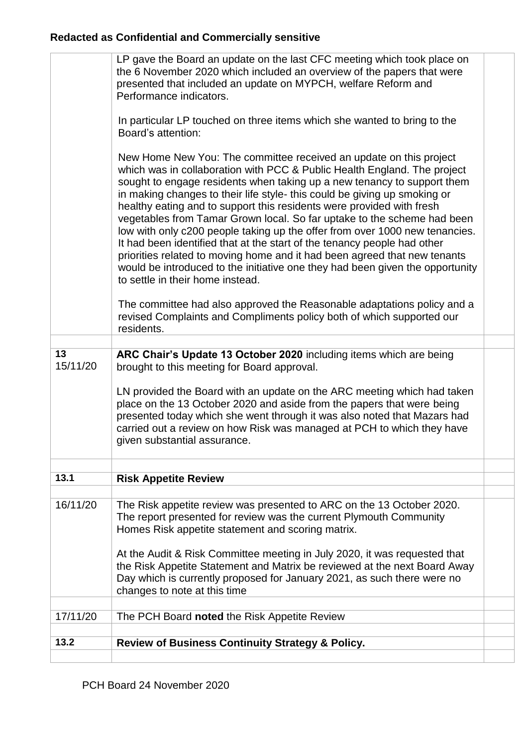| 13.2           | <b>Review of Business Continuity Strategy &amp; Policy.</b>                                                                                                                                                                                                                                                                                                                                                                                                                                                                                                                                                                                                                                                                                                                                                                                                                                                               |  |
|----------------|---------------------------------------------------------------------------------------------------------------------------------------------------------------------------------------------------------------------------------------------------------------------------------------------------------------------------------------------------------------------------------------------------------------------------------------------------------------------------------------------------------------------------------------------------------------------------------------------------------------------------------------------------------------------------------------------------------------------------------------------------------------------------------------------------------------------------------------------------------------------------------------------------------------------------|--|
| 17/11/20       | The PCH Board noted the Risk Appetite Review                                                                                                                                                                                                                                                                                                                                                                                                                                                                                                                                                                                                                                                                                                                                                                                                                                                                              |  |
|                |                                                                                                                                                                                                                                                                                                                                                                                                                                                                                                                                                                                                                                                                                                                                                                                                                                                                                                                           |  |
|                | At the Audit & Risk Committee meeting in July 2020, it was requested that<br>the Risk Appetite Statement and Matrix be reviewed at the next Board Away<br>Day which is currently proposed for January 2021, as such there were no<br>changes to note at this time                                                                                                                                                                                                                                                                                                                                                                                                                                                                                                                                                                                                                                                         |  |
| 16/11/20       | The Risk appetite review was presented to ARC on the 13 October 2020.<br>The report presented for review was the current Plymouth Community<br>Homes Risk appetite statement and scoring matrix.                                                                                                                                                                                                                                                                                                                                                                                                                                                                                                                                                                                                                                                                                                                          |  |
|                |                                                                                                                                                                                                                                                                                                                                                                                                                                                                                                                                                                                                                                                                                                                                                                                                                                                                                                                           |  |
| 13.1           | <b>Risk Appetite Review</b>                                                                                                                                                                                                                                                                                                                                                                                                                                                                                                                                                                                                                                                                                                                                                                                                                                                                                               |  |
|                | LN provided the Board with an update on the ARC meeting which had taken<br>place on the 13 October 2020 and aside from the papers that were being<br>presented today which she went through it was also noted that Mazars had<br>carried out a review on how Risk was managed at PCH to which they have<br>given substantial assurance.                                                                                                                                                                                                                                                                                                                                                                                                                                                                                                                                                                                   |  |
| 13<br>15/11/20 | ARC Chair's Update 13 October 2020 including items which are being<br>brought to this meeting for Board approval.                                                                                                                                                                                                                                                                                                                                                                                                                                                                                                                                                                                                                                                                                                                                                                                                         |  |
|                | The committee had also approved the Reasonable adaptations policy and a<br>revised Complaints and Compliments policy both of which supported our<br>residents.                                                                                                                                                                                                                                                                                                                                                                                                                                                                                                                                                                                                                                                                                                                                                            |  |
|                | In particular LP touched on three items which she wanted to bring to the<br>Board's attention:<br>New Home New You: The committee received an update on this project<br>which was in collaboration with PCC & Public Health England. The project<br>sought to engage residents when taking up a new tenancy to support them<br>in making changes to their life style- this could be giving up smoking or<br>healthy eating and to support this residents were provided with fresh<br>vegetables from Tamar Grown local. So far uptake to the scheme had been<br>low with only c200 people taking up the offer from over 1000 new tenancies.<br>It had been identified that at the start of the tenancy people had other<br>priorities related to moving home and it had been agreed that new tenants<br>would be introduced to the initiative one they had been given the opportunity<br>to settle in their home instead. |  |
|                | LP gave the Board an update on the last CFC meeting which took place on<br>the 6 November 2020 which included an overview of the papers that were<br>presented that included an update on MYPCH, welfare Reform and<br>Performance indicators.                                                                                                                                                                                                                                                                                                                                                                                                                                                                                                                                                                                                                                                                            |  |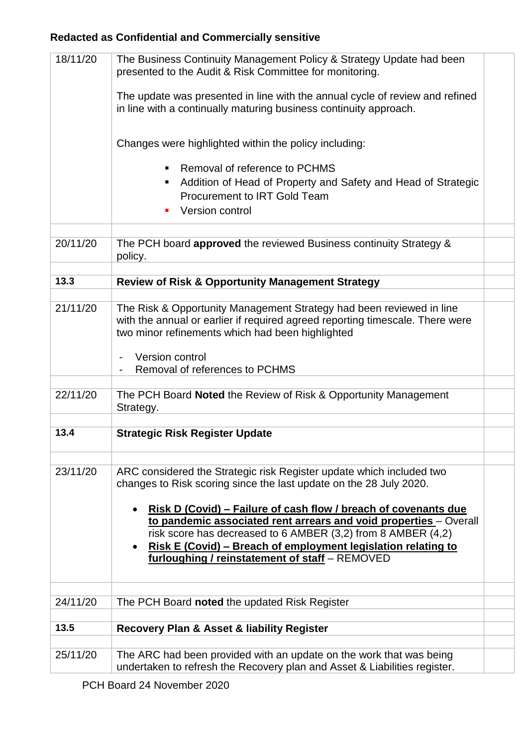| 18/11/20 | The Business Continuity Management Policy & Strategy Update had been<br>presented to the Audit & Risk Committee for monitoring.                                                                           |  |
|----------|-----------------------------------------------------------------------------------------------------------------------------------------------------------------------------------------------------------|--|
|          | The update was presented in line with the annual cycle of review and refined<br>in line with a continually maturing business continuity approach.                                                         |  |
|          | Changes were highlighted within the policy including:                                                                                                                                                     |  |
|          | Removal of reference to PCHMS<br>٠<br>Addition of Head of Property and Safety and Head of Strategic<br><b>Procurement to IRT Gold Team</b><br>Version control                                             |  |
| 20/11/20 | The PCH board approved the reviewed Business continuity Strategy &                                                                                                                                        |  |
|          | policy.                                                                                                                                                                                                   |  |
| 13.3     | <b>Review of Risk &amp; Opportunity Management Strategy</b>                                                                                                                                               |  |
|          |                                                                                                                                                                                                           |  |
| 21/11/20 | The Risk & Opportunity Management Strategy had been reviewed in line<br>with the annual or earlier if required agreed reporting timescale. There were<br>two minor refinements which had been highlighted |  |
|          | Version control<br>Removal of references to PCHMS                                                                                                                                                         |  |
| 22/11/20 | The PCH Board Noted the Review of Risk & Opportunity Management<br>Strategy.                                                                                                                              |  |
| 13.4     | <b>Strategic Risk Register Update</b>                                                                                                                                                                     |  |
| 23/11/20 |                                                                                                                                                                                                           |  |
|          | ARC considered the Strategic risk Register update which included two<br>changes to Risk scoring since the last update on the 28 July 2020.                                                                |  |
|          | Risk D (Covid) – Failure of cash flow / breach of covenants due                                                                                                                                           |  |
|          | to pandemic associated rent arrears and void properties - Overall                                                                                                                                         |  |
|          | risk score has decreased to 6 AMBER (3,2) from 8 AMBER (4,2)<br>Risk E (Covid) – Breach of employment legislation relating to                                                                             |  |
|          | furloughing / reinstatement of staff - REMOVED                                                                                                                                                            |  |
|          |                                                                                                                                                                                                           |  |
| 24/11/20 | The PCH Board noted the updated Risk Register                                                                                                                                                             |  |
| 13.5     | <b>Recovery Plan &amp; Asset &amp; liability Register</b>                                                                                                                                                 |  |
|          |                                                                                                                                                                                                           |  |
| 25/11/20 | The ARC had been provided with an update on the work that was being<br>undertaken to refresh the Recovery plan and Asset & Liabilities register.                                                          |  |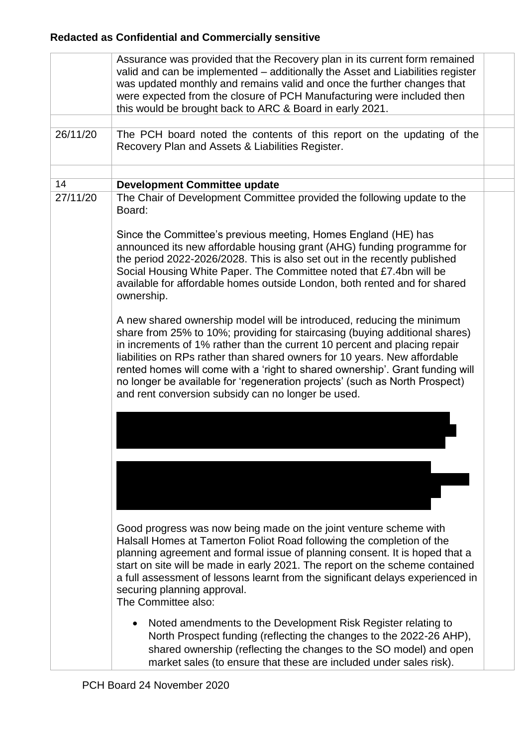|          | Assurance was provided that the Recovery plan in its current form remained<br>valid and can be implemented – additionally the Asset and Liabilities register<br>was updated monthly and remains valid and once the further changes that<br>were expected from the closure of PCH Manufacturing were included then<br>this would be brought back to ARC & Board in early 2021.                                                                                                                                                                                                                                                                                                                                                                                                                                                                                                                                                                                                                                        |  |
|----------|----------------------------------------------------------------------------------------------------------------------------------------------------------------------------------------------------------------------------------------------------------------------------------------------------------------------------------------------------------------------------------------------------------------------------------------------------------------------------------------------------------------------------------------------------------------------------------------------------------------------------------------------------------------------------------------------------------------------------------------------------------------------------------------------------------------------------------------------------------------------------------------------------------------------------------------------------------------------------------------------------------------------|--|
| 26/11/20 | The PCH board noted the contents of this report on the updating of the<br>Recovery Plan and Assets & Liabilities Register.                                                                                                                                                                                                                                                                                                                                                                                                                                                                                                                                                                                                                                                                                                                                                                                                                                                                                           |  |
|          |                                                                                                                                                                                                                                                                                                                                                                                                                                                                                                                                                                                                                                                                                                                                                                                                                                                                                                                                                                                                                      |  |
| 14       | <b>Development Committee update</b>                                                                                                                                                                                                                                                                                                                                                                                                                                                                                                                                                                                                                                                                                                                                                                                                                                                                                                                                                                                  |  |
| 27/11/20 | The Chair of Development Committee provided the following update to the<br>Board:<br>Since the Committee's previous meeting, Homes England (HE) has<br>announced its new affordable housing grant (AHG) funding programme for<br>the period 2022-2026/2028. This is also set out in the recently published<br>Social Housing White Paper. The Committee noted that £7.4bn will be<br>available for affordable homes outside London, both rented and for shared<br>ownership.<br>A new shared ownership model will be introduced, reducing the minimum<br>share from 25% to 10%; providing for staircasing (buying additional shares)<br>in increments of 1% rather than the current 10 percent and placing repair<br>liabilities on RPs rather than shared owners for 10 years. New affordable<br>rented homes will come with a 'right to shared ownership'. Grant funding will<br>no longer be available for 'regeneration projects' (such as North Prospect)<br>and rent conversion subsidy can no longer be used. |  |
|          | Good progress was now being made on the joint venture scheme with<br>Halsall Homes at Tamerton Foliot Road following the completion of the<br>planning agreement and formal issue of planning consent. It is hoped that a<br>start on site will be made in early 2021. The report on the scheme contained<br>a full assessment of lessons learnt from the significant delays experienced in<br>securing planning approval.<br>The Committee also:<br>Noted amendments to the Development Risk Register relating to<br>North Prospect funding (reflecting the changes to the 2022-26 AHP),<br>shared ownership (reflecting the changes to the SO model) and open<br>market sales (to ensure that these are included under sales risk).                                                                                                                                                                                                                                                                                |  |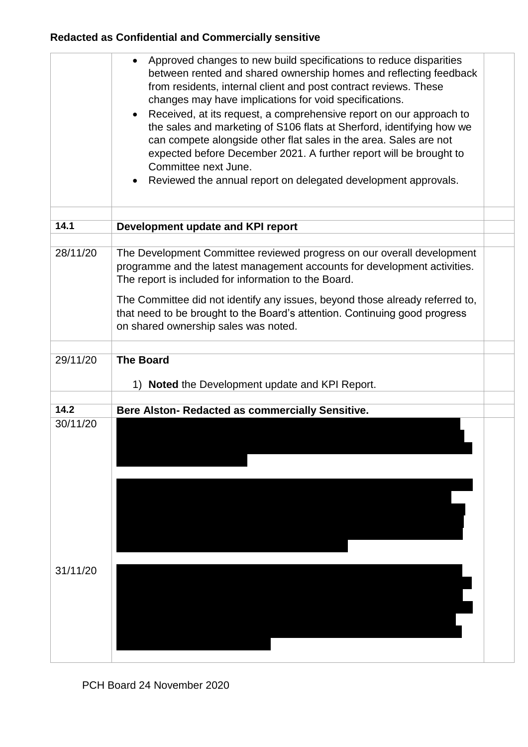|          | Approved changes to new build specifications to reduce disparities<br>$\bullet$<br>between rented and shared ownership homes and reflecting feedback<br>from residents, internal client and post contract reviews. These<br>changes may have implications for void specifications.<br>Received, at its request, a comprehensive report on our approach to<br>$\bullet$<br>the sales and marketing of S106 flats at Sherford, identifying how we<br>can compete alongside other flat sales in the area. Sales are not<br>expected before December 2021. A further report will be brought to<br>Committee next June.<br>Reviewed the annual report on delegated development approvals. |  |
|----------|--------------------------------------------------------------------------------------------------------------------------------------------------------------------------------------------------------------------------------------------------------------------------------------------------------------------------------------------------------------------------------------------------------------------------------------------------------------------------------------------------------------------------------------------------------------------------------------------------------------------------------------------------------------------------------------|--|
| 14.1     | Development update and KPI report                                                                                                                                                                                                                                                                                                                                                                                                                                                                                                                                                                                                                                                    |  |
|          |                                                                                                                                                                                                                                                                                                                                                                                                                                                                                                                                                                                                                                                                                      |  |
| 28/11/20 | The Development Committee reviewed progress on our overall development<br>programme and the latest management accounts for development activities.<br>The report is included for information to the Board.                                                                                                                                                                                                                                                                                                                                                                                                                                                                           |  |
|          | The Committee did not identify any issues, beyond those already referred to,<br>that need to be brought to the Board's attention. Continuing good progress<br>on shared ownership sales was noted.                                                                                                                                                                                                                                                                                                                                                                                                                                                                                   |  |
|          |                                                                                                                                                                                                                                                                                                                                                                                                                                                                                                                                                                                                                                                                                      |  |
| 29/11/20 | <b>The Board</b><br><b>Noted</b> the Development update and KPI Report.<br>1)                                                                                                                                                                                                                                                                                                                                                                                                                                                                                                                                                                                                        |  |
| 14.2     | Bere Alston- Redacted as commercially Sensitive.                                                                                                                                                                                                                                                                                                                                                                                                                                                                                                                                                                                                                                     |  |
| 30/11/20 |                                                                                                                                                                                                                                                                                                                                                                                                                                                                                                                                                                                                                                                                                      |  |
|          |                                                                                                                                                                                                                                                                                                                                                                                                                                                                                                                                                                                                                                                                                      |  |
|          |                                                                                                                                                                                                                                                                                                                                                                                                                                                                                                                                                                                                                                                                                      |  |
|          |                                                                                                                                                                                                                                                                                                                                                                                                                                                                                                                                                                                                                                                                                      |  |
| 31/11/20 |                                                                                                                                                                                                                                                                                                                                                                                                                                                                                                                                                                                                                                                                                      |  |
|          |                                                                                                                                                                                                                                                                                                                                                                                                                                                                                                                                                                                                                                                                                      |  |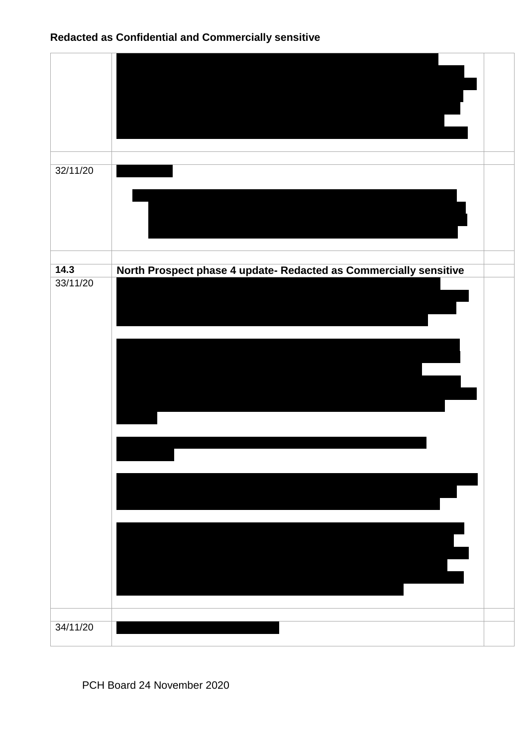| North Prospect phase 4 update- Redacted as Commercially sensitive |
|-------------------------------------------------------------------|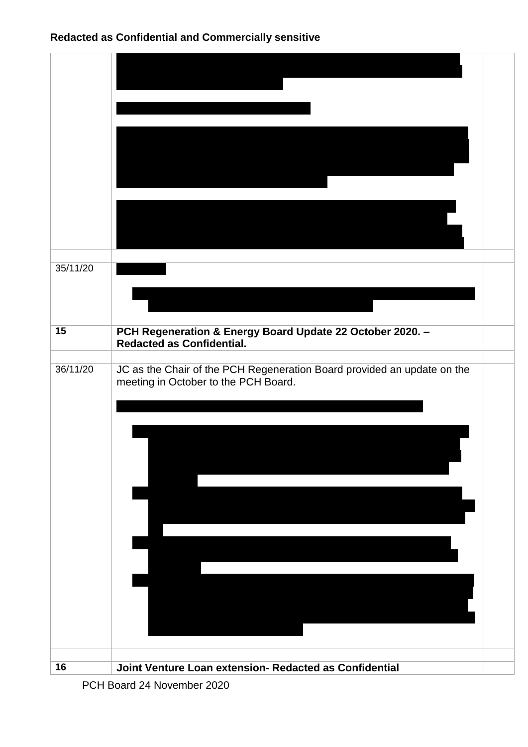| 35/11/20 |                                                                                                                 |  |
|----------|-----------------------------------------------------------------------------------------------------------------|--|
| 15       |                                                                                                                 |  |
|          | PCH Regeneration & Energy Board Update 22 October 2020. -<br><b>Redacted as Confidential.</b>                   |  |
| 36/11/20 | JC as the Chair of the PCH Regeneration Board provided an update on the<br>meeting in October to the PCH Board. |  |
|          |                                                                                                                 |  |
|          |                                                                                                                 |  |
|          |                                                                                                                 |  |
|          |                                                                                                                 |  |
|          |                                                                                                                 |  |
|          |                                                                                                                 |  |
|          |                                                                                                                 |  |
|          |                                                                                                                 |  |
| 16       | Joint Venture Loan extension- Redacted as Confidential                                                          |  |

PCH Board 24 November 2020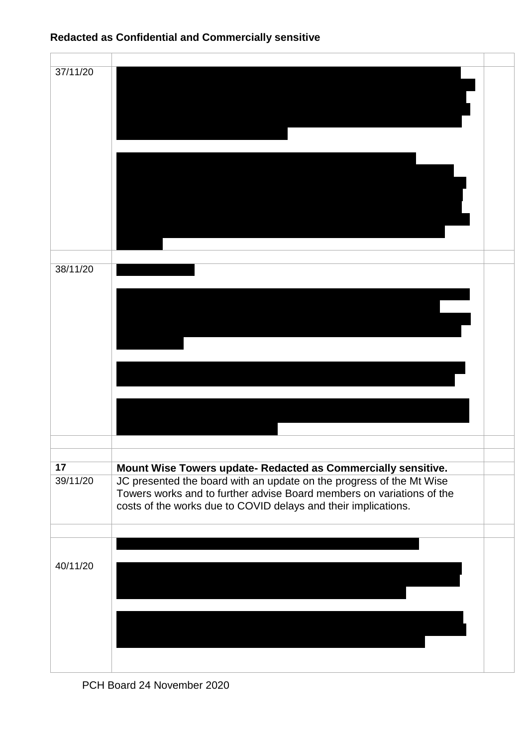| 37/11/20 |                                                                                                                                                                                                                 |  |
|----------|-----------------------------------------------------------------------------------------------------------------------------------------------------------------------------------------------------------------|--|
|          |                                                                                                                                                                                                                 |  |
| 38/11/20 |                                                                                                                                                                                                                 |  |
|          |                                                                                                                                                                                                                 |  |
|          |                                                                                                                                                                                                                 |  |
| 17       | Mount Wise Towers update- Redacted as Commercially sensitive.                                                                                                                                                   |  |
| 39/11/20 | JC presented the board with an update on the progress of the Mt Wise<br>Towers works and to further advise Board members on variations of the<br>costs of the works due to COVID delays and their implications. |  |
|          |                                                                                                                                                                                                                 |  |
| 40/11/20 |                                                                                                                                                                                                                 |  |
|          |                                                                                                                                                                                                                 |  |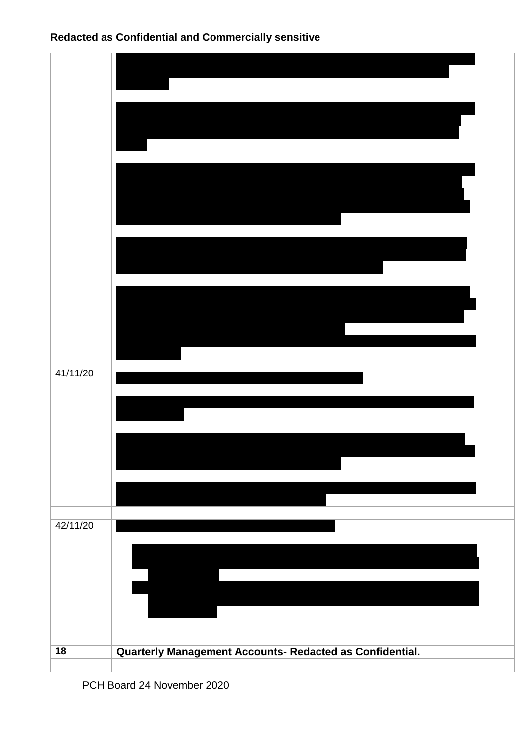| 41/11/20        |                                                          |  |
|-----------------|----------------------------------------------------------|--|
|                 |                                                          |  |
| 42/11/20        |                                                          |  |
| $\overline{18}$ | Quarterly Management Accounts- Redacted as Confidential. |  |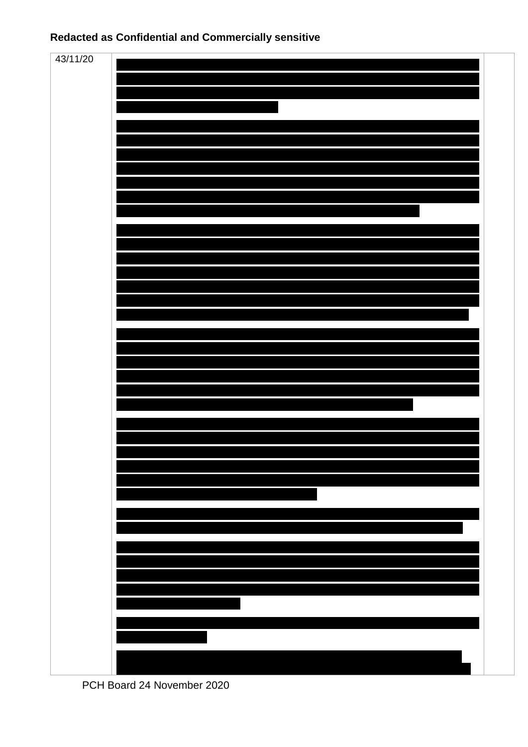



PCH Board 24 November 2020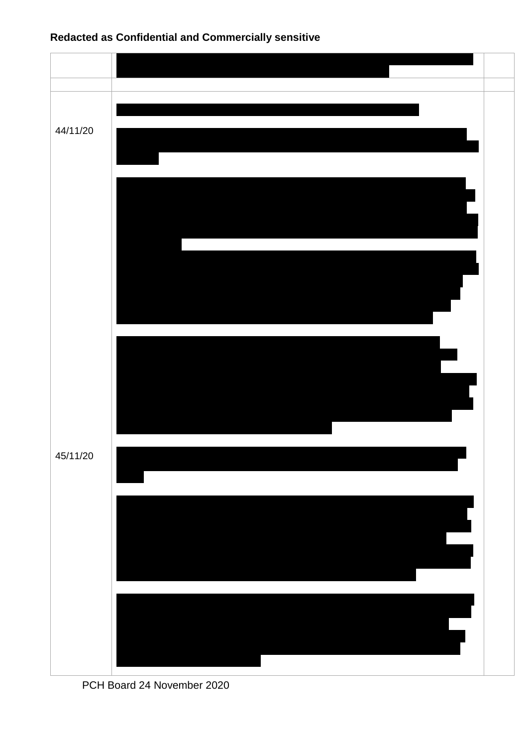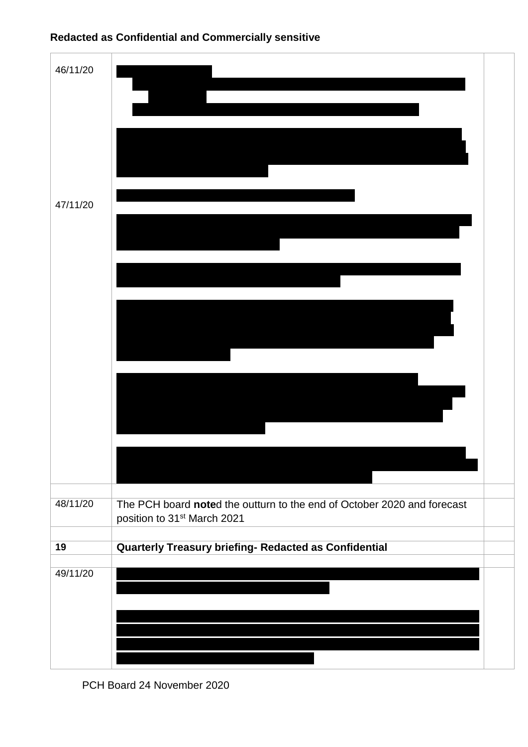| 46/11/20 |                                                                                                                    |  |
|----------|--------------------------------------------------------------------------------------------------------------------|--|
| 47/11/20 |                                                                                                                    |  |
|          |                                                                                                                    |  |
|          |                                                                                                                    |  |
| 48/11/20 | The PCH board noted the outturn to the end of October 2020 and forecast<br>position to 31 <sup>st</sup> March 2021 |  |
| 19       | Quarterly Treasury briefing- Redacted as Confidential                                                              |  |
| 49/11/20 |                                                                                                                    |  |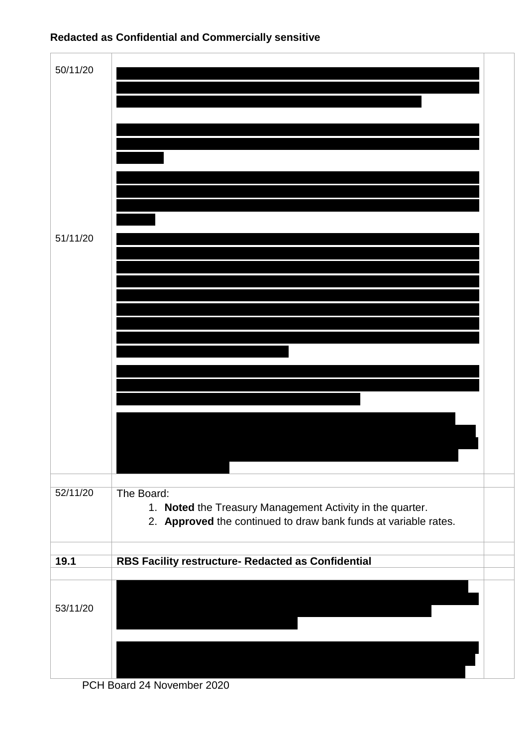

| 50/11/20 |                                                                                                                                            |  |
|----------|--------------------------------------------------------------------------------------------------------------------------------------------|--|
|          |                                                                                                                                            |  |
|          |                                                                                                                                            |  |
|          |                                                                                                                                            |  |
|          |                                                                                                                                            |  |
| 51/11/20 |                                                                                                                                            |  |
|          |                                                                                                                                            |  |
|          |                                                                                                                                            |  |
|          |                                                                                                                                            |  |
|          |                                                                                                                                            |  |
|          |                                                                                                                                            |  |
|          |                                                                                                                                            |  |
|          |                                                                                                                                            |  |
| 52/11/20 | The Board:<br>1. Noted the Treasury Management Activity in the quarter.<br>2. Approved the continued to draw bank funds at variable rates. |  |
| 19.1     | RBS Facility restructure- Redacted as Confidential                                                                                         |  |
|          |                                                                                                                                            |  |
| 53/11/20 |                                                                                                                                            |  |
|          |                                                                                                                                            |  |
|          |                                                                                                                                            |  |

PCH Board 24 November 2020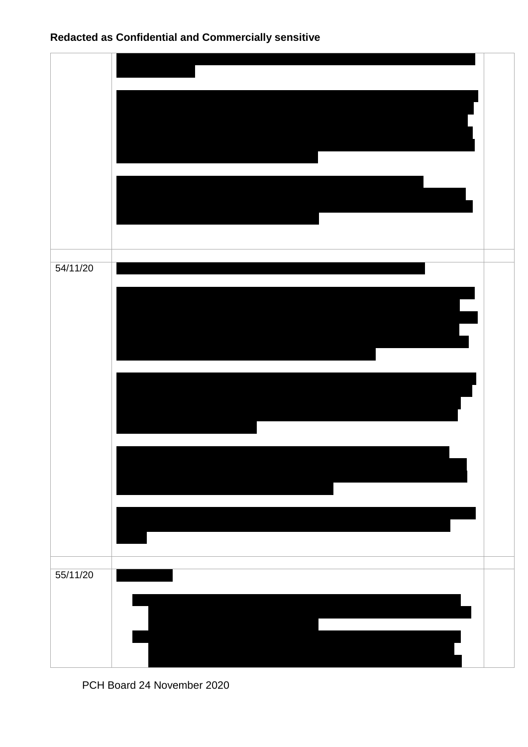| 54/11/20 |  |
|----------|--|
| 55/11/20 |  |

PCH Board 24 November 2020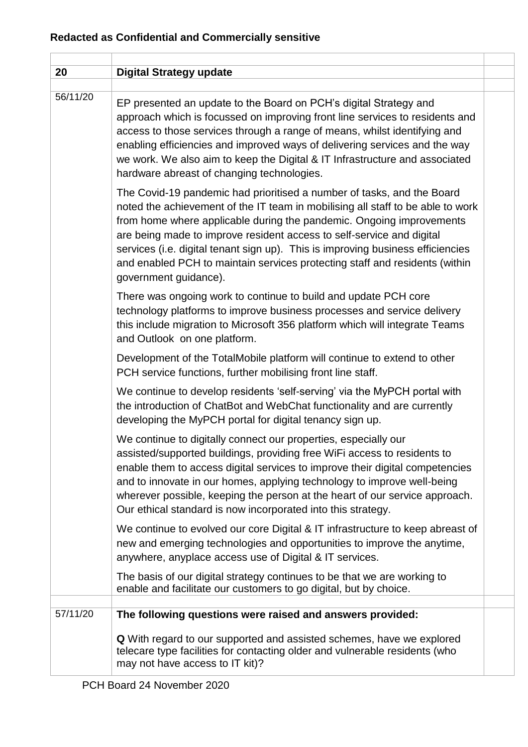| 20       | <b>Digital Strategy update</b>                                                                                                                                                                                                                                                                                                                                                                                                                                                                        |
|----------|-------------------------------------------------------------------------------------------------------------------------------------------------------------------------------------------------------------------------------------------------------------------------------------------------------------------------------------------------------------------------------------------------------------------------------------------------------------------------------------------------------|
| 56/11/20 | EP presented an update to the Board on PCH's digital Strategy and<br>approach which is focussed on improving front line services to residents and<br>access to those services through a range of means, whilst identifying and<br>enabling efficiencies and improved ways of delivering services and the way<br>we work. We also aim to keep the Digital & IT Infrastructure and associated<br>hardware abreast of changing technologies.                                                             |
|          | The Covid-19 pandemic had prioritised a number of tasks, and the Board<br>noted the achievement of the IT team in mobilising all staff to be able to work<br>from home where applicable during the pandemic. Ongoing improvements<br>are being made to improve resident access to self-service and digital<br>services (i.e. digital tenant sign up). This is improving business efficiencies<br>and enabled PCH to maintain services protecting staff and residents (within<br>government guidance). |
|          | There was ongoing work to continue to build and update PCH core<br>technology platforms to improve business processes and service delivery<br>this include migration to Microsoft 356 platform which will integrate Teams<br>and Outlook on one platform.                                                                                                                                                                                                                                             |
|          | Development of the TotalMobile platform will continue to extend to other<br>PCH service functions, further mobilising front line staff.                                                                                                                                                                                                                                                                                                                                                               |
|          | We continue to develop residents 'self-serving' via the MyPCH portal with<br>the introduction of ChatBot and WebChat functionality and are currently<br>developing the MyPCH portal for digital tenancy sign up.                                                                                                                                                                                                                                                                                      |
|          | We continue to digitally connect our properties, especially our<br>assisted/supported buildings, providing free WiFi access to residents to<br>enable them to access digital services to improve their digital competencies<br>and to innovate in our homes, applying technology to improve well-being<br>wherever possible, keeping the person at the heart of our service approach.<br>Our ethical standard is now incorporated into this strategy.                                                 |
|          | We continue to evolved our core Digital & IT infrastructure to keep abreast of<br>new and emerging technologies and opportunities to improve the anytime,<br>anywhere, anyplace access use of Digital & IT services.                                                                                                                                                                                                                                                                                  |
|          | The basis of our digital strategy continues to be that we are working to<br>enable and facilitate our customers to go digital, but by choice.                                                                                                                                                                                                                                                                                                                                                         |
| 57/11/20 | The following questions were raised and answers provided:                                                                                                                                                                                                                                                                                                                                                                                                                                             |
|          | Q With regard to our supported and assisted schemes, have we explored<br>telecare type facilities for contacting older and vulnerable residents (who<br>may not have access to IT kit)?                                                                                                                                                                                                                                                                                                               |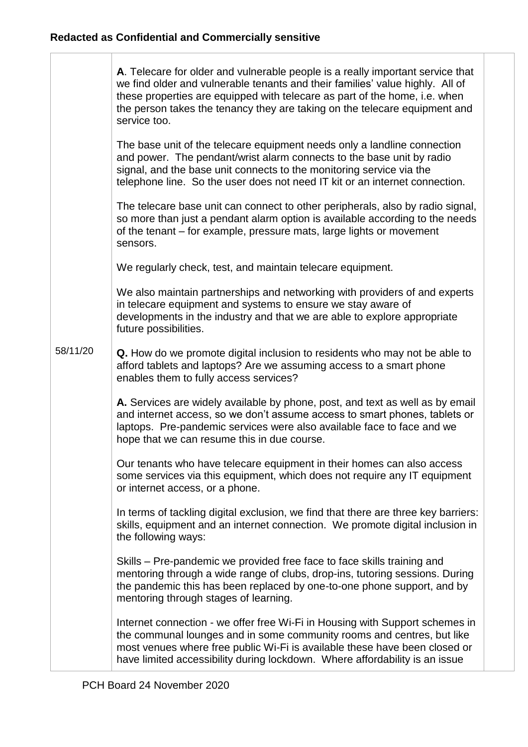58/11/20 **A**. Telecare for older and vulnerable people is a really important service that we find older and vulnerable tenants and their families' value highly. All of these properties are equipped with telecare as part of the home, i.e. when the person takes the tenancy they are taking on the telecare equipment and service too. The base unit of the telecare equipment needs only a landline connection and power. The pendant/wrist alarm connects to the base unit by radio signal, and the base unit connects to the monitoring service via the telephone line. So the user does not need IT kit or an internet connection. The telecare base unit can connect to other peripherals, also by radio signal, so more than just a pendant alarm option is available according to the needs of the tenant – for example, pressure mats, large lights or movement sensors. We regularly check, test, and maintain telecare equipment. We also maintain partnerships and networking with providers of and experts in telecare equipment and systems to ensure we stay aware of developments in the industry and that we are able to explore appropriate future possibilities. **Q.** How do we promote digital inclusion to residents who may not be able to afford tablets and laptops? Are we assuming access to a smart phone enables them to fully access services? **A.** Services are widely available by phone, post, and text as well as by email and internet access, so we don't assume access to smart phones, tablets or laptops. Pre-pandemic services were also available face to face and we hope that we can resume this in due course. Our tenants who have telecare equipment in their homes can also access some services via this equipment, which does not require any IT equipment or internet access, or a phone. In terms of tackling digital exclusion, we find that there are three key barriers: skills, equipment and an internet connection. We promote digital inclusion in the following ways: Skills – Pre-pandemic we provided free face to face skills training and mentoring through a wide range of clubs, drop-ins, tutoring sessions. During the pandemic this has been replaced by one-to-one phone support, and by mentoring through stages of learning. Internet connection - we offer free Wi-Fi in Housing with Support schemes in the communal lounges and in some community rooms and centres, but like most venues where free public Wi-Fi is available these have been closed or have limited accessibility during lockdown. Where affordability is an issue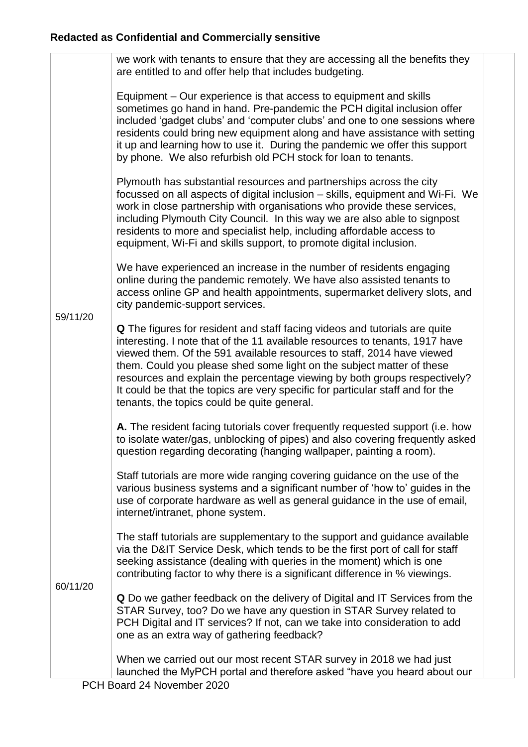|          | we work with tenants to ensure that they are accessing all the benefits they<br>are entitled to and offer help that includes budgeting.                                                                                                                                                                                                                                                                                                                                                                                            |
|----------|------------------------------------------------------------------------------------------------------------------------------------------------------------------------------------------------------------------------------------------------------------------------------------------------------------------------------------------------------------------------------------------------------------------------------------------------------------------------------------------------------------------------------------|
|          | Equipment - Our experience is that access to equipment and skills<br>sometimes go hand in hand. Pre-pandemic the PCH digital inclusion offer<br>included 'gadget clubs' and 'computer clubs' and one to one sessions where<br>residents could bring new equipment along and have assistance with setting<br>it up and learning how to use it. During the pandemic we offer this support<br>by phone. We also refurbish old PCH stock for loan to tenants.                                                                          |
|          | Plymouth has substantial resources and partnerships across the city<br>focussed on all aspects of digital inclusion - skills, equipment and Wi-Fi. We<br>work in close partnership with organisations who provide these services,<br>including Plymouth City Council. In this way we are also able to signpost<br>residents to more and specialist help, including affordable access to<br>equipment, Wi-Fi and skills support, to promote digital inclusion.                                                                      |
| 59/11/20 | We have experienced an increase in the number of residents engaging<br>online during the pandemic remotely. We have also assisted tenants to<br>access online GP and health appointments, supermarket delivery slots, and<br>city pandemic-support services.                                                                                                                                                                                                                                                                       |
|          | <b>Q</b> The figures for resident and staff facing videos and tutorials are quite<br>interesting. I note that of the 11 available resources to tenants, 1917 have<br>viewed them. Of the 591 available resources to staff, 2014 have viewed<br>them. Could you please shed some light on the subject matter of these<br>resources and explain the percentage viewing by both groups respectively?<br>It could be that the topics are very specific for particular staff and for the<br>tenants, the topics could be quite general. |
|          | A. The resident facing tutorials cover frequently requested support (i.e. how<br>to isolate water/gas, unblocking of pipes) and also covering frequently asked<br>question regarding decorating (hanging wallpaper, painting a room).                                                                                                                                                                                                                                                                                              |
|          | Staff tutorials are more wide ranging covering guidance on the use of the<br>various business systems and a significant number of 'how to' guides in the<br>use of corporate hardware as well as general guidance in the use of email,<br>internet/intranet, phone system.                                                                                                                                                                                                                                                         |
| 60/11/20 | The staff tutorials are supplementary to the support and guidance available<br>via the D&IT Service Desk, which tends to be the first port of call for staff<br>seeking assistance (dealing with queries in the moment) which is one<br>contributing factor to why there is a significant difference in % viewings.                                                                                                                                                                                                                |
|          | Q Do we gather feedback on the delivery of Digital and IT Services from the<br>STAR Survey, too? Do we have any question in STAR Survey related to<br>PCH Digital and IT services? If not, can we take into consideration to add<br>one as an extra way of gathering feedback?                                                                                                                                                                                                                                                     |
|          | When we carried out our most recent STAR survey in 2018 we had just<br>launched the MyPCH portal and therefore asked "have you heard about our                                                                                                                                                                                                                                                                                                                                                                                     |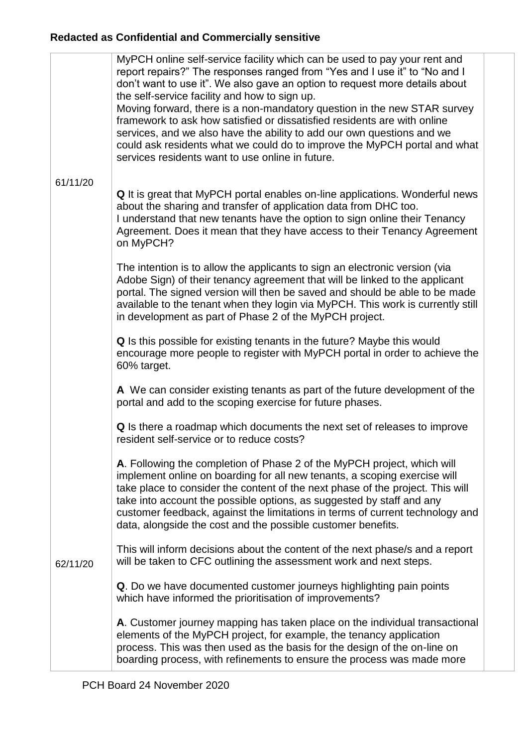|          | MyPCH online self-service facility which can be used to pay your rent and<br>report repairs?" The responses ranged from "Yes and I use it" to "No and I<br>don't want to use it". We also gave an option to request more details about<br>the self-service facility and how to sign up.<br>Moving forward, there is a non-mandatory question in the new STAR survey<br>framework to ask how satisfied or dissatisfied residents are with online<br>services, and we also have the ability to add our own questions and we<br>could ask residents what we could do to improve the MyPCH portal and what<br>services residents want to use online in future. |
|----------|------------------------------------------------------------------------------------------------------------------------------------------------------------------------------------------------------------------------------------------------------------------------------------------------------------------------------------------------------------------------------------------------------------------------------------------------------------------------------------------------------------------------------------------------------------------------------------------------------------------------------------------------------------|
| 61/11/20 | Q It is great that MyPCH portal enables on-line applications. Wonderful news<br>about the sharing and transfer of application data from DHC too.<br>I understand that new tenants have the option to sign online their Tenancy<br>Agreement. Does it mean that they have access to their Tenancy Agreement<br>on MyPCH?                                                                                                                                                                                                                                                                                                                                    |
|          | The intention is to allow the applicants to sign an electronic version (via<br>Adobe Sign) of their tenancy agreement that will be linked to the applicant<br>portal. The signed version will then be saved and should be able to be made<br>available to the tenant when they login via MyPCH. This work is currently still<br>in development as part of Phase 2 of the MyPCH project.                                                                                                                                                                                                                                                                    |
|          | Q Is this possible for existing tenants in the future? Maybe this would<br>encourage more people to register with MyPCH portal in order to achieve the<br>60% target.                                                                                                                                                                                                                                                                                                                                                                                                                                                                                      |
|          | A We can consider existing tenants as part of the future development of the<br>portal and add to the scoping exercise for future phases.                                                                                                                                                                                                                                                                                                                                                                                                                                                                                                                   |
|          | Q Is there a roadmap which documents the next set of releases to improve<br>resident self-service or to reduce costs?                                                                                                                                                                                                                                                                                                                                                                                                                                                                                                                                      |
|          | A. Following the completion of Phase 2 of the MyPCH project, which will<br>implement online on boarding for all new tenants, a scoping exercise will<br>take place to consider the content of the next phase of the project. This will<br>take into account the possible options, as suggested by staff and any<br>customer feedback, against the limitations in terms of current technology and<br>data, alongside the cost and the possible customer benefits.                                                                                                                                                                                           |
| 62/11/20 | This will inform decisions about the content of the next phase/s and a report<br>will be taken to CFC outlining the assessment work and next steps.                                                                                                                                                                                                                                                                                                                                                                                                                                                                                                        |
|          | Q. Do we have documented customer journeys highlighting pain points<br>which have informed the prioritisation of improvements?                                                                                                                                                                                                                                                                                                                                                                                                                                                                                                                             |
|          | A. Customer journey mapping has taken place on the individual transactional<br>elements of the MyPCH project, for example, the tenancy application<br>process. This was then used as the basis for the design of the on-line on<br>boarding process, with refinements to ensure the process was made more                                                                                                                                                                                                                                                                                                                                                  |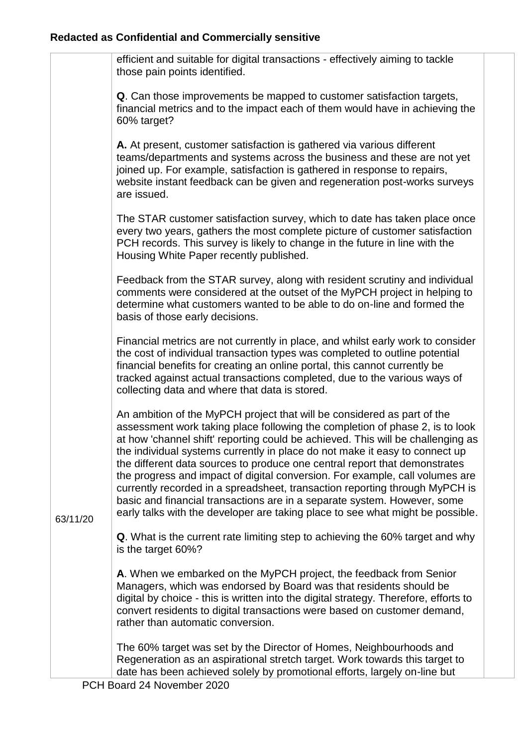|          | efficient and suitable for digital transactions - effectively aiming to tackle<br>those pain points identified.                                                                                                                                                                                                                                                                                                                                                                                                                                                                                                                                                                                                                      |
|----------|--------------------------------------------------------------------------------------------------------------------------------------------------------------------------------------------------------------------------------------------------------------------------------------------------------------------------------------------------------------------------------------------------------------------------------------------------------------------------------------------------------------------------------------------------------------------------------------------------------------------------------------------------------------------------------------------------------------------------------------|
|          | Q. Can those improvements be mapped to customer satisfaction targets,<br>financial metrics and to the impact each of them would have in achieving the<br>60% target?                                                                                                                                                                                                                                                                                                                                                                                                                                                                                                                                                                 |
|          | A. At present, customer satisfaction is gathered via various different<br>teams/departments and systems across the business and these are not yet<br>joined up. For example, satisfaction is gathered in response to repairs,<br>website instant feedback can be given and regeneration post-works surveys<br>are issued.                                                                                                                                                                                                                                                                                                                                                                                                            |
|          | The STAR customer satisfaction survey, which to date has taken place once<br>every two years, gathers the most complete picture of customer satisfaction<br>PCH records. This survey is likely to change in the future in line with the<br>Housing White Paper recently published.                                                                                                                                                                                                                                                                                                                                                                                                                                                   |
|          | Feedback from the STAR survey, along with resident scrutiny and individual<br>comments were considered at the outset of the MyPCH project in helping to<br>determine what customers wanted to be able to do on-line and formed the<br>basis of those early decisions.                                                                                                                                                                                                                                                                                                                                                                                                                                                                |
|          | Financial metrics are not currently in place, and whilst early work to consider<br>the cost of individual transaction types was completed to outline potential<br>financial benefits for creating an online portal, this cannot currently be<br>tracked against actual transactions completed, due to the various ways of<br>collecting data and where that data is stored.                                                                                                                                                                                                                                                                                                                                                          |
| 63/11/20 | An ambition of the MyPCH project that will be considered as part of the<br>assessment work taking place following the completion of phase 2, is to look<br>at how 'channel shift' reporting could be achieved. This will be challenging as<br>the individual systems currently in place do not make it easy to connect up<br>the different data sources to produce one central report that demonstrates<br>the progress and impact of digital conversion. For example, call volumes are<br>currently recorded in a spreadsheet, transaction reporting through MyPCH is<br>basic and financial transactions are in a separate system. However, some<br>early talks with the developer are taking place to see what might be possible. |
|          | Q. What is the current rate limiting step to achieving the 60% target and why<br>is the target 60%?                                                                                                                                                                                                                                                                                                                                                                                                                                                                                                                                                                                                                                  |
|          | A. When we embarked on the MyPCH project, the feedback from Senior<br>Managers, which was endorsed by Board was that residents should be<br>digital by choice - this is written into the digital strategy. Therefore, efforts to<br>convert residents to digital transactions were based on customer demand,<br>rather than automatic conversion.                                                                                                                                                                                                                                                                                                                                                                                    |
|          | The 60% target was set by the Director of Homes, Neighbourhoods and<br>Regeneration as an aspirational stretch target. Work towards this target to<br>date has been achieved solely by promotional efforts, largely on-line but                                                                                                                                                                                                                                                                                                                                                                                                                                                                                                      |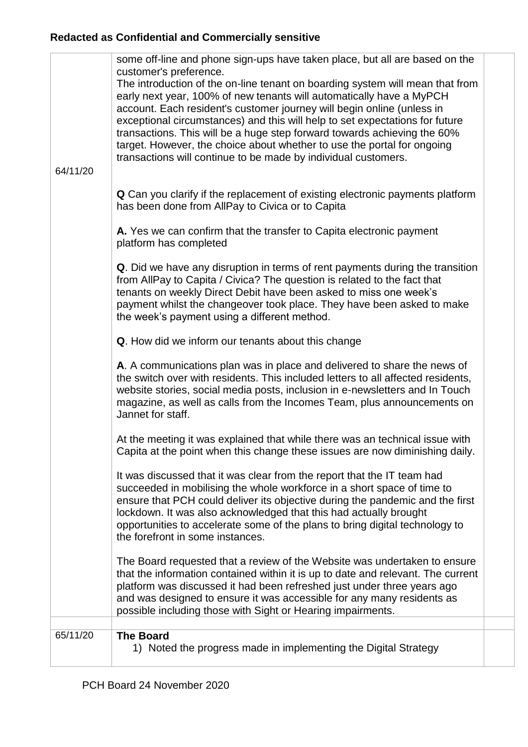| 64/11/20 | some off-line and phone sign-ups have taken place, but all are based on the<br>customer's preference.<br>The introduction of the on-line tenant on boarding system will mean that from<br>early next year, 100% of new tenants will automatically have a MyPCH<br>account. Each resident's customer journey will begin online (unless in<br>exceptional circumstances) and this will help to set expectations for future<br>transactions. This will be a huge step forward towards achieving the 60%<br>target. However, the choice about whether to use the portal for ongoing<br>transactions will continue to be made by individual customers.<br><b>Q</b> Can you clarify if the replacement of existing electronic payments platform<br>has been done from AllPay to Civica or to Capita<br>A. Yes we can confirm that the transfer to Capita electronic payment<br>platform has completed<br>Q. Did we have any disruption in terms of rent payments during the transition<br>from AllPay to Capita / Civica? The question is related to the fact that<br>tenants on weekly Direct Debit have been asked to miss one week's<br>payment whilst the changeover took place. They have been asked to make<br>the week's payment using a different method.<br>Q. How did we inform our tenants about this change<br>A. A communications plan was in place and delivered to share the news of<br>the switch over with residents. This included letters to all affected residents,<br>website stories, social media posts, inclusion in e-newsletters and In Touch<br>magazine, as well as calls from the Incomes Team, plus announcements on<br>Jannet for staff.<br>At the meeting it was explained that while there was an technical issue with |  |
|----------|---------------------------------------------------------------------------------------------------------------------------------------------------------------------------------------------------------------------------------------------------------------------------------------------------------------------------------------------------------------------------------------------------------------------------------------------------------------------------------------------------------------------------------------------------------------------------------------------------------------------------------------------------------------------------------------------------------------------------------------------------------------------------------------------------------------------------------------------------------------------------------------------------------------------------------------------------------------------------------------------------------------------------------------------------------------------------------------------------------------------------------------------------------------------------------------------------------------------------------------------------------------------------------------------------------------------------------------------------------------------------------------------------------------------------------------------------------------------------------------------------------------------------------------------------------------------------------------------------------------------------------------------------------------------------------------------------------------------------------------------------|--|
|          | Capita at the point when this change these issues are now diminishing daily.                                                                                                                                                                                                                                                                                                                                                                                                                                                                                                                                                                                                                                                                                                                                                                                                                                                                                                                                                                                                                                                                                                                                                                                                                                                                                                                                                                                                                                                                                                                                                                                                                                                                      |  |
|          | It was discussed that it was clear from the report that the IT team had<br>succeeded in mobilising the whole workforce in a short space of time to<br>ensure that PCH could deliver its objective during the pandemic and the first<br>lockdown. It was also acknowledged that this had actually brought<br>opportunities to accelerate some of the plans to bring digital technology to<br>the forefront in some instances.                                                                                                                                                                                                                                                                                                                                                                                                                                                                                                                                                                                                                                                                                                                                                                                                                                                                                                                                                                                                                                                                                                                                                                                                                                                                                                                      |  |
|          | The Board requested that a review of the Website was undertaken to ensure<br>that the information contained within it is up to date and relevant. The current<br>platform was discussed it had been refreshed just under three years ago<br>and was designed to ensure it was accessible for any many residents as<br>possible including those with Sight or Hearing impairments.                                                                                                                                                                                                                                                                                                                                                                                                                                                                                                                                                                                                                                                                                                                                                                                                                                                                                                                                                                                                                                                                                                                                                                                                                                                                                                                                                                 |  |
| 65/11/20 | <b>The Board</b>                                                                                                                                                                                                                                                                                                                                                                                                                                                                                                                                                                                                                                                                                                                                                                                                                                                                                                                                                                                                                                                                                                                                                                                                                                                                                                                                                                                                                                                                                                                                                                                                                                                                                                                                  |  |
|          | 1) Noted the progress made in implementing the Digital Strategy                                                                                                                                                                                                                                                                                                                                                                                                                                                                                                                                                                                                                                                                                                                                                                                                                                                                                                                                                                                                                                                                                                                                                                                                                                                                                                                                                                                                                                                                                                                                                                                                                                                                                   |  |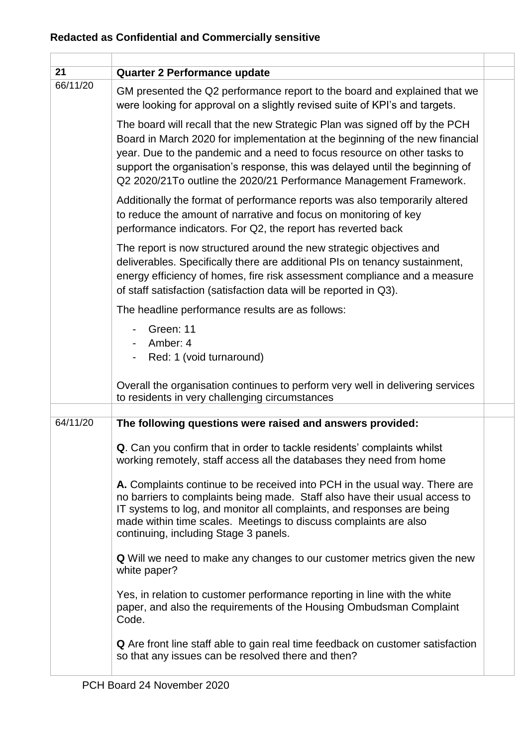| 21       | <b>Quarter 2 Performance update</b>                                                                                                                                                                                                                                                                                                                                                           |  |
|----------|-----------------------------------------------------------------------------------------------------------------------------------------------------------------------------------------------------------------------------------------------------------------------------------------------------------------------------------------------------------------------------------------------|--|
| 66/11/20 | GM presented the Q2 performance report to the board and explained that we<br>were looking for approval on a slightly revised suite of KPI's and targets.                                                                                                                                                                                                                                      |  |
|          | The board will recall that the new Strategic Plan was signed off by the PCH<br>Board in March 2020 for implementation at the beginning of the new financial<br>year. Due to the pandemic and a need to focus resource on other tasks to<br>support the organisation's response, this was delayed until the beginning of<br>Q2 2020/21To outline the 2020/21 Performance Management Framework. |  |
|          | Additionally the format of performance reports was also temporarily altered<br>to reduce the amount of narrative and focus on monitoring of key<br>performance indicators. For Q2, the report has reverted back                                                                                                                                                                               |  |
|          | The report is now structured around the new strategic objectives and<br>deliverables. Specifically there are additional PIs on tenancy sustainment,<br>energy efficiency of homes, fire risk assessment compliance and a measure<br>of staff satisfaction (satisfaction data will be reported in Q3).                                                                                         |  |
|          | The headline performance results are as follows:                                                                                                                                                                                                                                                                                                                                              |  |
|          | Green: 11<br>Amber: 4<br>Red: 1 (void turnaround)                                                                                                                                                                                                                                                                                                                                             |  |
|          | Overall the organisation continues to perform very well in delivering services<br>to residents in very challenging circumstances                                                                                                                                                                                                                                                              |  |
| 64/11/20 |                                                                                                                                                                                                                                                                                                                                                                                               |  |
|          | The following questions were raised and answers provided:                                                                                                                                                                                                                                                                                                                                     |  |
|          | Q. Can you confirm that in order to tackle residents' complaints whilst<br>working remotely, staff access all the databases they need from home                                                                                                                                                                                                                                               |  |
|          | A. Complaints continue to be received into PCH in the usual way. There are<br>no barriers to complaints being made. Staff also have their usual access to<br>IT systems to log, and monitor all complaints, and responses are being<br>made within time scales. Meetings to discuss complaints are also<br>continuing, including Stage 3 panels.                                              |  |
|          | Q Will we need to make any changes to our customer metrics given the new<br>white paper?                                                                                                                                                                                                                                                                                                      |  |
|          | Yes, in relation to customer performance reporting in line with the white<br>paper, and also the requirements of the Housing Ombudsman Complaint<br>Code.                                                                                                                                                                                                                                     |  |
|          | <b>Q</b> Are front line staff able to gain real time feedback on customer satisfaction<br>so that any issues can be resolved there and then?                                                                                                                                                                                                                                                  |  |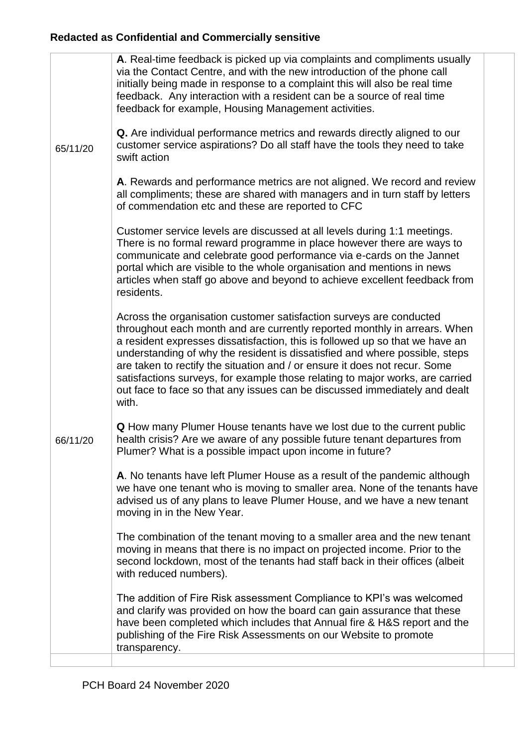|          | A. Real-time feedback is picked up via complaints and compliments usually<br>via the Contact Centre, and with the new introduction of the phone call<br>initially being made in response to a complaint this will also be real time<br>feedback. Any interaction with a resident can be a source of real time<br>feedback for example, Housing Management activities.                                                                                                                                                                                                 |
|----------|-----------------------------------------------------------------------------------------------------------------------------------------------------------------------------------------------------------------------------------------------------------------------------------------------------------------------------------------------------------------------------------------------------------------------------------------------------------------------------------------------------------------------------------------------------------------------|
| 65/11/20 | Q. Are individual performance metrics and rewards directly aligned to our<br>customer service aspirations? Do all staff have the tools they need to take<br>swift action                                                                                                                                                                                                                                                                                                                                                                                              |
|          | A. Rewards and performance metrics are not aligned. We record and review<br>all compliments; these are shared with managers and in turn staff by letters<br>of commendation etc and these are reported to CFC                                                                                                                                                                                                                                                                                                                                                         |
|          | Customer service levels are discussed at all levels during 1:1 meetings.<br>There is no formal reward programme in place however there are ways to<br>communicate and celebrate good performance via e-cards on the Jannet<br>portal which are visible to the whole organisation and mentions in news<br>articles when staff go above and beyond to achieve excellent feedback from<br>residents.                                                                                                                                                                     |
|          | Across the organisation customer satisfaction surveys are conducted<br>throughout each month and are currently reported monthly in arrears. When<br>a resident expresses dissatisfaction, this is followed up so that we have an<br>understanding of why the resident is dissatisfied and where possible, steps<br>are taken to rectify the situation and / or ensure it does not recur. Some<br>satisfactions surveys, for example those relating to major works, are carried<br>out face to face so that any issues can be discussed immediately and dealt<br>with. |
| 66/11/20 | Q How many Plumer House tenants have we lost due to the current public<br>health crisis? Are we aware of any possible future tenant departures from<br>Plumer? What is a possible impact upon income in future?                                                                                                                                                                                                                                                                                                                                                       |
|          | A. No tenants have left Plumer House as a result of the pandemic although<br>we have one tenant who is moving to smaller area. None of the tenants have<br>advised us of any plans to leave Plumer House, and we have a new tenant<br>moving in in the New Year.                                                                                                                                                                                                                                                                                                      |
|          | The combination of the tenant moving to a smaller area and the new tenant<br>moving in means that there is no impact on projected income. Prior to the<br>second lockdown, most of the tenants had staff back in their offices (albeit<br>with reduced numbers).                                                                                                                                                                                                                                                                                                      |
|          | The addition of Fire Risk assessment Compliance to KPI's was welcomed<br>and clarify was provided on how the board can gain assurance that these<br>have been completed which includes that Annual fire & H&S report and the<br>publishing of the Fire Risk Assessments on our Website to promote<br>transparency.                                                                                                                                                                                                                                                    |
|          |                                                                                                                                                                                                                                                                                                                                                                                                                                                                                                                                                                       |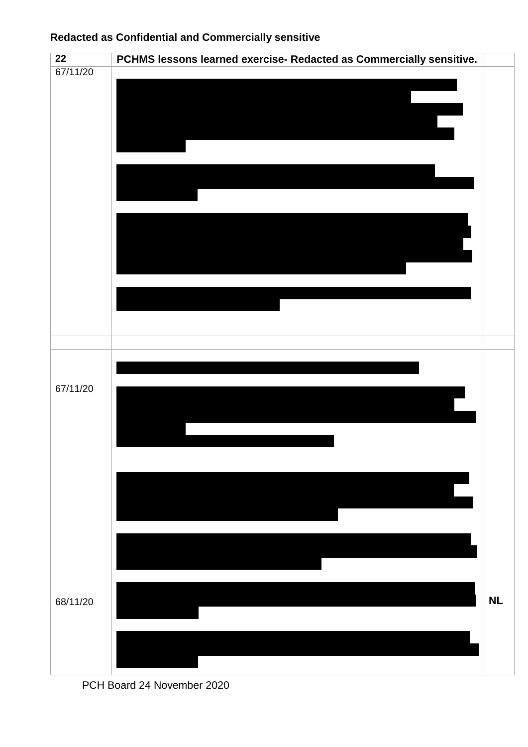

PCH Board 24 November 2020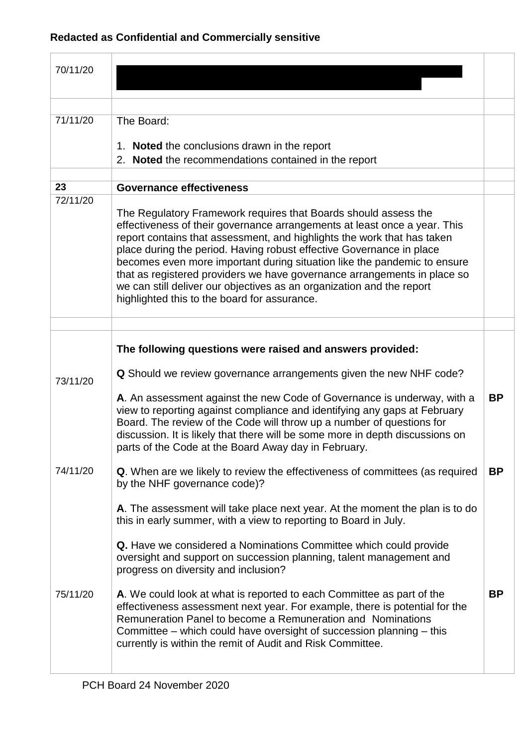| 70/11/20 |                                                                                                                                                                                                                                                                                                                                                                                                                                                                                                                                                                                  |           |
|----------|----------------------------------------------------------------------------------------------------------------------------------------------------------------------------------------------------------------------------------------------------------------------------------------------------------------------------------------------------------------------------------------------------------------------------------------------------------------------------------------------------------------------------------------------------------------------------------|-----------|
|          |                                                                                                                                                                                                                                                                                                                                                                                                                                                                                                                                                                                  |           |
|          |                                                                                                                                                                                                                                                                                                                                                                                                                                                                                                                                                                                  |           |
| 71/11/20 | The Board:                                                                                                                                                                                                                                                                                                                                                                                                                                                                                                                                                                       |           |
|          | 1. Noted the conclusions drawn in the report                                                                                                                                                                                                                                                                                                                                                                                                                                                                                                                                     |           |
|          | 2. Noted the recommendations contained in the report                                                                                                                                                                                                                                                                                                                                                                                                                                                                                                                             |           |
| 23       | <b>Governance effectiveness</b>                                                                                                                                                                                                                                                                                                                                                                                                                                                                                                                                                  |           |
| 72/11/20 |                                                                                                                                                                                                                                                                                                                                                                                                                                                                                                                                                                                  |           |
|          | The Regulatory Framework requires that Boards should assess the<br>effectiveness of their governance arrangements at least once a year. This<br>report contains that assessment, and highlights the work that has taken<br>place during the period. Having robust effective Governance in place<br>becomes even more important during situation like the pandemic to ensure<br>that as registered providers we have governance arrangements in place so<br>we can still deliver our objectives as an organization and the report<br>highlighted this to the board for assurance. |           |
|          |                                                                                                                                                                                                                                                                                                                                                                                                                                                                                                                                                                                  |           |
|          | The following questions were raised and answers provided:                                                                                                                                                                                                                                                                                                                                                                                                                                                                                                                        |           |
| 73/11/20 | <b>Q</b> Should we review governance arrangements given the new NHF code?                                                                                                                                                                                                                                                                                                                                                                                                                                                                                                        |           |
|          | A. An assessment against the new Code of Governance is underway, with a<br>view to reporting against compliance and identifying any gaps at February<br>Board. The review of the Code will throw up a number of questions for<br>discussion. It is likely that there will be some more in depth discussions on<br>parts of the Code at the Board Away day in February.                                                                                                                                                                                                           | <b>BP</b> |
| 74/11/20 | <b>Q.</b> When are we likely to review the effectiveness of committees (as required<br>by the NHF governance code)?                                                                                                                                                                                                                                                                                                                                                                                                                                                              | <b>BP</b> |
|          | A. The assessment will take place next year. At the moment the plan is to do<br>this in early summer, with a view to reporting to Board in July.                                                                                                                                                                                                                                                                                                                                                                                                                                 |           |
|          | <b>Q.</b> Have we considered a Nominations Committee which could provide<br>oversight and support on succession planning, talent management and<br>progress on diversity and inclusion?                                                                                                                                                                                                                                                                                                                                                                                          |           |
| 75/11/20 | A. We could look at what is reported to each Committee as part of the<br>effectiveness assessment next year. For example, there is potential for the<br>Remuneration Panel to become a Remuneration and Nominations<br>Committee – which could have oversight of succession planning – this<br>currently is within the remit of Audit and Risk Committee.                                                                                                                                                                                                                        | <b>BP</b> |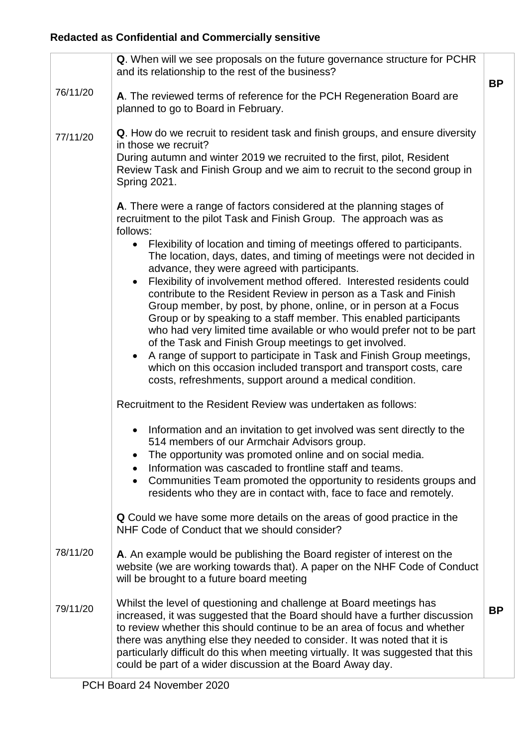|          | Q. When will we see proposals on the future governance structure for PCHR<br>and its relationship to the rest of the business?                                                                                                                                                                                                                                                                                                                                                                                                                                                                                                                                                                                                                                                                                                        | <b>BP</b> |
|----------|---------------------------------------------------------------------------------------------------------------------------------------------------------------------------------------------------------------------------------------------------------------------------------------------------------------------------------------------------------------------------------------------------------------------------------------------------------------------------------------------------------------------------------------------------------------------------------------------------------------------------------------------------------------------------------------------------------------------------------------------------------------------------------------------------------------------------------------|-----------|
| 76/11/20 | A. The reviewed terms of reference for the PCH Regeneration Board are<br>planned to go to Board in February.                                                                                                                                                                                                                                                                                                                                                                                                                                                                                                                                                                                                                                                                                                                          |           |
| 77/11/20 | Q. How do we recruit to resident task and finish groups, and ensure diversity<br>in those we recruit?<br>During autumn and winter 2019 we recruited to the first, pilot, Resident<br>Review Task and Finish Group and we aim to recruit to the second group in<br><b>Spring 2021.</b>                                                                                                                                                                                                                                                                                                                                                                                                                                                                                                                                                 |           |
|          | A. There were a range of factors considered at the planning stages of<br>recruitment to the pilot Task and Finish Group. The approach was as<br>follows:                                                                                                                                                                                                                                                                                                                                                                                                                                                                                                                                                                                                                                                                              |           |
|          | Flexibility of location and timing of meetings offered to participants.<br>The location, days, dates, and timing of meetings were not decided in<br>advance, they were agreed with participants.<br>Flexibility of involvement method offered. Interested residents could<br>contribute to the Resident Review in person as a Task and Finish<br>Group member, by post, by phone, online, or in person at a Focus<br>Group or by speaking to a staff member. This enabled participants<br>who had very limited time available or who would prefer not to be part<br>of the Task and Finish Group meetings to get involved.<br>A range of support to participate in Task and Finish Group meetings,<br>which on this occasion included transport and transport costs, care<br>costs, refreshments, support around a medical condition. |           |
|          | Recruitment to the Resident Review was undertaken as follows:                                                                                                                                                                                                                                                                                                                                                                                                                                                                                                                                                                                                                                                                                                                                                                         |           |
|          | Information and an invitation to get involved was sent directly to the<br>514 members of our Armchair Advisors group.<br>The opportunity was promoted online and on social media.<br>Information was cascaded to frontline staff and teams.<br>Communities Team promoted the opportunity to residents groups and<br>residents who they are in contact with, face to face and remotely.                                                                                                                                                                                                                                                                                                                                                                                                                                                |           |
|          | <b>Q</b> Could we have some more details on the areas of good practice in the<br>NHF Code of Conduct that we should consider?                                                                                                                                                                                                                                                                                                                                                                                                                                                                                                                                                                                                                                                                                                         |           |
| 78/11/20 | A. An example would be publishing the Board register of interest on the<br>website (we are working towards that). A paper on the NHF Code of Conduct<br>will be brought to a future board meeting                                                                                                                                                                                                                                                                                                                                                                                                                                                                                                                                                                                                                                     |           |
| 79/11/20 | Whilst the level of questioning and challenge at Board meetings has<br>increased, it was suggested that the Board should have a further discussion<br>to review whether this should continue to be an area of focus and whether<br>there was anything else they needed to consider. It was noted that it is<br>particularly difficult do this when meeting virtually. It was suggested that this<br>could be part of a wider discussion at the Board Away day.                                                                                                                                                                                                                                                                                                                                                                        | <b>BP</b> |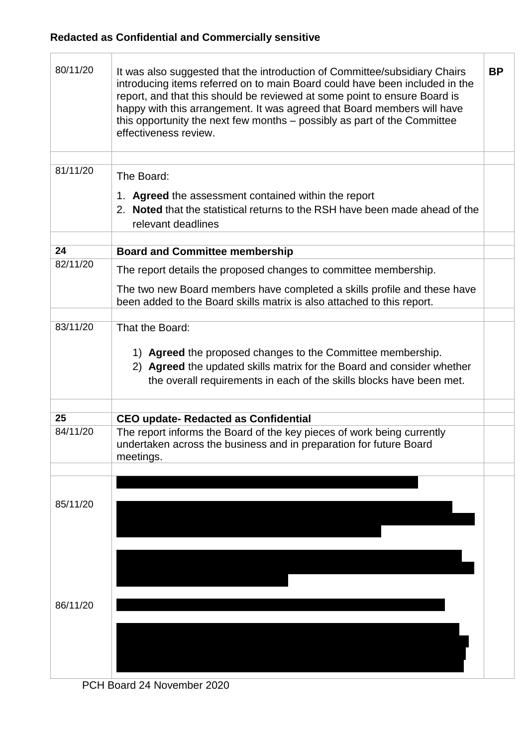$\overline{\Gamma}$ 

T

| 80/11/20 | It was also suggested that the introduction of Committee/subsidiary Chairs<br>introducing items referred on to main Board could have been included in the<br>report, and that this should be reviewed at some point to ensure Board is<br>happy with this arrangement. It was agreed that Board members will have<br>this opportunity the next few months - possibly as part of the Committee<br>effectiveness review. | <b>BP</b> |
|----------|------------------------------------------------------------------------------------------------------------------------------------------------------------------------------------------------------------------------------------------------------------------------------------------------------------------------------------------------------------------------------------------------------------------------|-----------|
|          |                                                                                                                                                                                                                                                                                                                                                                                                                        |           |
| 81/11/20 | The Board:                                                                                                                                                                                                                                                                                                                                                                                                             |           |
|          | 1. Agreed the assessment contained within the report<br>2. Noted that the statistical returns to the RSH have been made ahead of the<br>relevant deadlines                                                                                                                                                                                                                                                             |           |
| 24       |                                                                                                                                                                                                                                                                                                                                                                                                                        |           |
| 82/11/20 | <b>Board and Committee membership</b>                                                                                                                                                                                                                                                                                                                                                                                  |           |
|          | The report details the proposed changes to committee membership.                                                                                                                                                                                                                                                                                                                                                       |           |
|          | The two new Board members have completed a skills profile and these have<br>been added to the Board skills matrix is also attached to this report.                                                                                                                                                                                                                                                                     |           |
| 83/11/20 | That the Board:                                                                                                                                                                                                                                                                                                                                                                                                        |           |
|          | 1) Agreed the proposed changes to the Committee membership.<br>2) Agreed the updated skills matrix for the Board and consider whether<br>the overall requirements in each of the skills blocks have been met.                                                                                                                                                                                                          |           |
| 25       | <b>CEO update- Redacted as Confidential</b>                                                                                                                                                                                                                                                                                                                                                                            |           |
| 84/11/20 | The report informs the Board of the key pieces of work being currently<br>undertaken across the business and in preparation for future Board<br>meetings.                                                                                                                                                                                                                                                              |           |
|          |                                                                                                                                                                                                                                                                                                                                                                                                                        |           |
| 85/11/20 |                                                                                                                                                                                                                                                                                                                                                                                                                        |           |
|          |                                                                                                                                                                                                                                                                                                                                                                                                                        |           |
| 86/11/20 |                                                                                                                                                                                                                                                                                                                                                                                                                        |           |
|          |                                                                                                                                                                                                                                                                                                                                                                                                                        |           |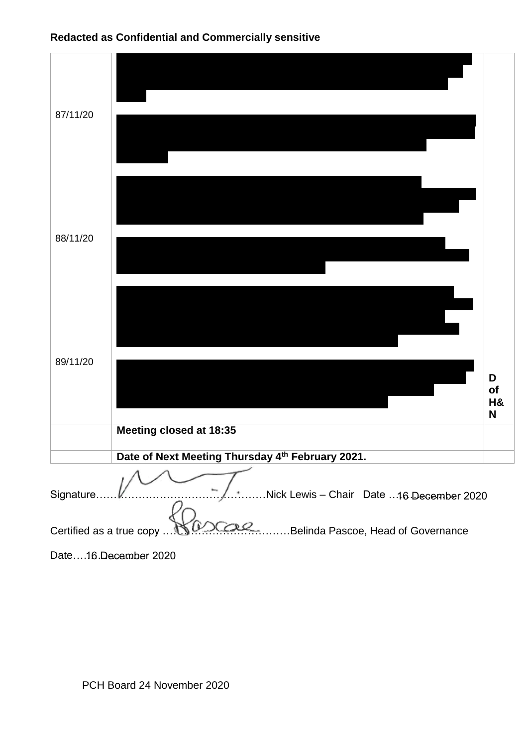

| 87/11/20                                                       |                                                  |                    |
|----------------------------------------------------------------|--------------------------------------------------|--------------------|
| 88/11/20                                                       |                                                  |                    |
| 89/11/20                                                       |                                                  | D<br>of<br>H&<br>N |
|                                                                | Meeting closed at 18:35                          |                    |
|                                                                | Date of Next Meeting Thursday 4th February 2021. |                    |
|                                                                |                                                  |                    |
| Nick Lewis - Chair Date 16 December 2020<br>Signature          |                                                  |                    |
| Belinda Pascoe, Head of Governance<br>Certified as a true copy |                                                  |                    |

Date….16 December 2020